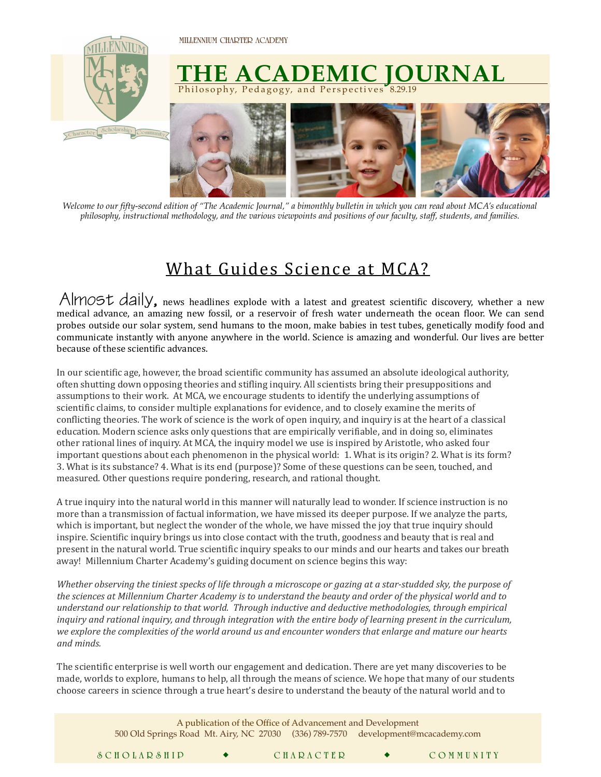**MILLENNIUM CHARTER ACADEMY** 



*Welcome to our fifty-second edition of "The Academic Journal," a bimonthly bulletin in which you can read about MCA's educational philosophy, instructional methodology, and the various viewpoints and positions of our faculty, staff, students, and families.* 

## What Guides Science at MCA?

*AllYIOSL AallY*, news headlines explode with a latest and greatest scientific discovery, whether a new medical advance, an amazing new fossil, or a reservoir of fresh water underneath the ocean floor. We can send probes outside our solar system, send humans to the moon, make babies in test tubes, genetically modify food and communicate instantly with anyone anywhere in the world. Science is amazing and wonderful. Our lives are better because of these scientific advances. **Almost daily,**

In our scientific age, however, the broad scientific community has assumed an absolute ideological authority, often shutting down opposing theories and stifling inquiry. All scientists bring their presuppositions and assumptions to their work. At MCA, we encourage students to identify the underlying assumptions of scientific claims, to consider multiple explanations for evidence, and to closely examine the merits of conflicting theories. The work of science is the work of open inquiry, and inquiry is at the heart of a classical education. Modern science asks only questions that are empirically verifiable, and in doing so, eliminates other rational lines of inquiry. At MCA, the inquiry model we use is inspired by Aristotle, who asked four important questions about each phenomenon in the physical world: 1. What is its origin? 2. What is its form? 3. What is its substance? 4. What is its end (purpose)? Some of these questions can be seen, touched, and measured. Other questions require pondering, research, and rational thought.

A true inquiry into the natural world in this manner will naturally lead to wonder. If science instruction is no more than a transmission of factual information, we have missed its deeper purpose. If we analyze the parts, which is important, but neglect the wonder of the whole, we have missed the joy that true inquiry should inspire. Scientific inquiry brings us into close contact with the truth, goodness and beauty that is real and present in the natural world. True scientific inquiry speaks to our minds and our hearts and takes our breath away! Millennium Charter Academy's guiding document on science begins this way:

*Whether* observing the tiniest specks of life through a microscope or gazing at a star-studded sky, the purpose of *the sciences at Millennium Charter Academy* is to understand the beauty and order of the physical world and to understand our relationship to that world. Through inductive and deductive methodologies, through empirical *inquiry* and rational inquiry, and through integration with the entire body of learning present in the curriculum, we explore the complexities of the world around us and encounter wonders that enlarge and mature our hearts *and minds.* 

The scientific enterprise is well worth our engagement and dedication. There are yet many discoveries to be made, worlds to explore, humans to help, all through the means of science. We hope that many of our students choose careers in science through a true heart's desire to understand the beauty of the natural world and to

| A publication of the Office of Advancement and Development<br>500 Old Springs Road Mt. Airy, NC 27030 (336) 789-7570 development@mcacademy.com |  |  |           |  |           |
|------------------------------------------------------------------------------------------------------------------------------------------------|--|--|-----------|--|-----------|
| SCHOLARSHIP                                                                                                                                    |  |  | CHARACTER |  | COMMUNITY |